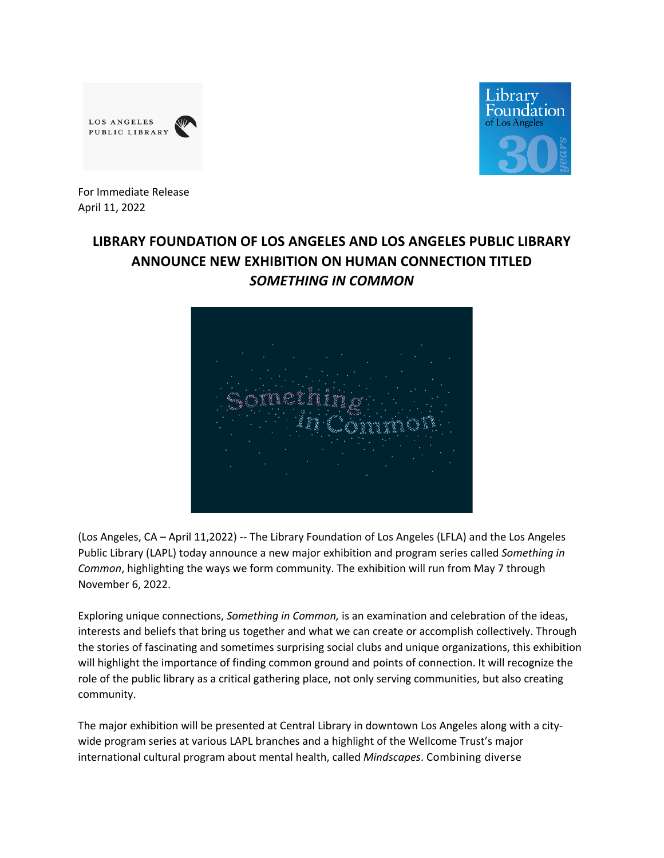



For Immediate Release April 11, 2022

## **LIBRARY FOUNDATION OF LOS ANGELES AND LOS ANGELES PUBLIC LIBRARY ANNOUNCE NEW EXHIBITION ON HUMAN CONNECTION TITLED**  *SOMETHING IN COMMON*



(Los Angeles, CA – April 11,2022) -- The Library Foundation of Los Angeles (LFLA) and the Los Angeles Public Library (LAPL) today announce a new major exhibition and program series called *Something in Common*, highlighting the ways we form community. The exhibition will run from May 7 through November 6, 2022.

Exploring unique connections, *Something in Common,* is an examination and celebration of the ideas, interests and beliefs that bring us together and what we can create or accomplish collectively. Through the stories of fascinating and sometimes surprising social clubs and unique organizations, this exhibition will highlight the importance of finding common ground and points of connection. It will recognize the role of the public library as a critical gathering place, not only serving communities, but also creating community.

The major exhibition will be presented at Central Library in downtown Los Angeles along with a citywide program series at various LAPL branches and a highlight of the Wellcome Trust's major international cultural program about mental health, called *Mindscapes*. Combining diverse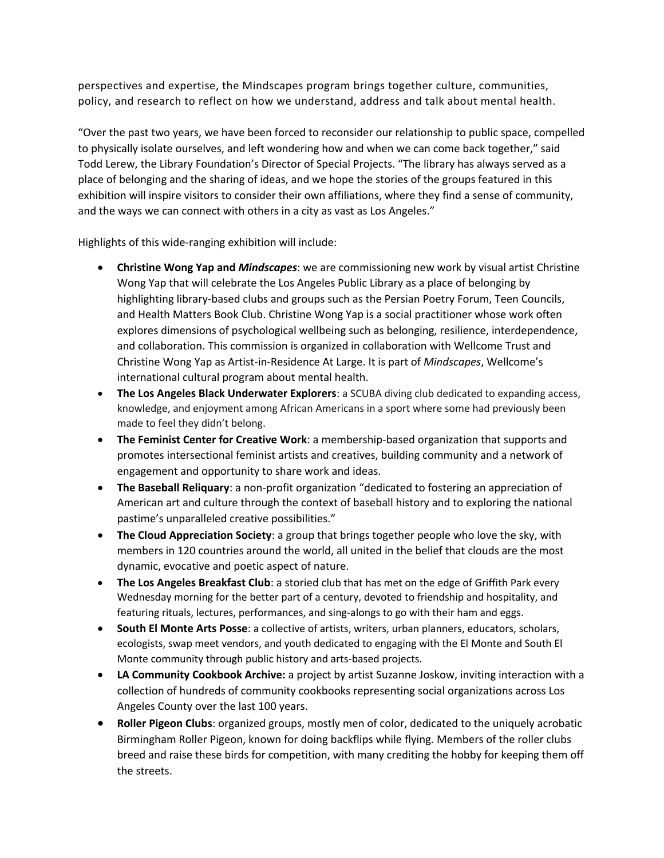perspectives and expertise, the Mindscapes program brings together culture, communities, policy, and research to reflect on how we understand, address and talk about mental health.

"Over the past two years, we have been forced to reconsider our relationship to public space, compelled to physically isolate ourselves, and left wondering how and when we can come back together," said Todd Lerew, the Library Foundation's Director of Special Projects. "The library has always served as a place of belonging and the sharing of ideas, and we hope the stories of the groups featured in this exhibition will inspire visitors to consider their own affiliations, where they find a sense of community, and the ways we can connect with others in a city as vast as Los Angeles."

Highlights of this wide-ranging exhibition will include:

- **Christine Wong Yap and** *Mindscapes*: we are commissioning new work by visual artist Christine Wong Yap that will celebrate the Los Angeles Public Library as a place of belonging by highlighting library-based clubs and groups such as the Persian Poetry Forum, Teen Councils, and Health Matters Book Club. Christine Wong Yap is a social practitioner whose work often explores dimensions of psychological wellbeing such as belonging, resilience, interdependence, and collaboration. This commission is organized in collaboration with Wellcome Trust and Christine Wong Yap as Artist-in-Residence At Large. It is part of *Mindscapes*, Wellcome's international cultural program about mental health.
- **The Los Angeles Black Underwater Explorers**: a SCUBA diving club dedicated to expanding access, knowledge, and enjoyment among African Americans in a sport where some had previously been made to feel they didn't belong.
- **The Feminist Center for Creative Work**: a membership-based organization that supports and promotes intersectional feminist artists and creatives, building community and a network of engagement and opportunity to share work and ideas.
- **The Baseball Reliquary**: a non-profit organization "dedicated to fostering an appreciation of American art and culture through the context of baseball history and to exploring the national pastime's unparalleled creative possibilities."
- **The Cloud Appreciation Society**: a group that brings together people who love the sky, with members in 120 countries around the world, all united in the belief that clouds are the most dynamic, evocative and poetic aspect of nature.
- **The Los Angeles Breakfast Club**: a storied club that has met on the edge of Griffith Park every Wednesday morning for the better part of a century, devoted to friendship and hospitality, and featuring rituals, lectures, performances, and sing-alongs to go with their ham and eggs.
- **South El Monte Arts Posse**: a collective of artists, writers, urban planners, educators, scholars, ecologists, swap meet vendors, and youth dedicated to engaging with the El Monte and South El Monte community through public history and arts-based projects.
- **LA Community Cookbook Archive:** a project by artist Suzanne Joskow, inviting interaction with a collection of hundreds of community cookbooks representing social organizations across Los Angeles County over the last 100 years.
- **Roller Pigeon Clubs**: organized groups, mostly men of color, dedicated to the uniquely acrobatic Birmingham Roller Pigeon, known for doing backflips while flying. Members of the roller clubs breed and raise these birds for competition, with many crediting the hobby for keeping them off the streets.